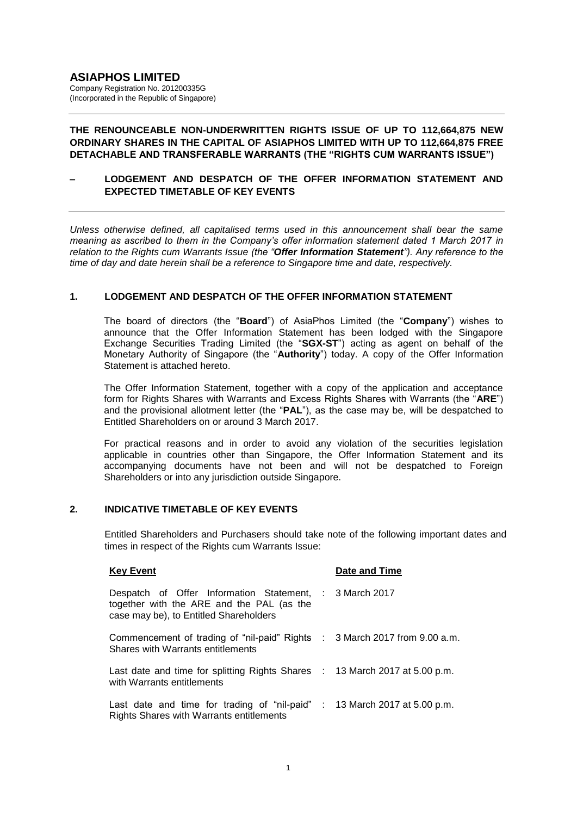## **THE RENOUNCEABLE NON-UNDERWRITTEN RIGHTS ISSUE OF UP TO 112,664,875 NEW ORDINARY SHARES IN THE CAPITAL OF ASIAPHOS LIMITED WITH UP TO 112,664,875 FREE DETACHABLE AND TRANSFERABLE WARRANTS (THE "RIGHTS CUM WARRANTS ISSUE")**

## **– LODGEMENT AND DESPATCH OF THE OFFER INFORMATION STATEMENT AND EXPECTED TIMETABLE OF KEY EVENTS**

*Unless otherwise defined, all capitalised terms used in this announcement shall bear the same meaning as ascribed to them in the Company's offer information statement dated 1 March 2017 in relation to the Rights cum Warrants Issue (the "Offer Information Statement"). Any reference to the time of day and date herein shall be a reference to Singapore time and date, respectively.*

## **1. LODGEMENT AND DESPATCH OF THE OFFER INFORMATION STATEMENT**

The board of directors (the "**Board**") of AsiaPhos Limited (the "**Company**") wishes to announce that the Offer Information Statement has been lodged with the Singapore Exchange Securities Trading Limited (the "**SGX-ST**") acting as agent on behalf of the Monetary Authority of Singapore (the "**Authority**") today. A copy of the Offer Information Statement is attached hereto.

The Offer Information Statement, together with a copy of the application and acceptance form for Rights Shares with Warrants and Excess Rights Shares with Warrants (the "**ARE**") and the provisional allotment letter (the "**PAL**"), as the case may be, will be despatched to Entitled Shareholders on or around 3 March 2017.

For practical reasons and in order to avoid any violation of the securities legislation applicable in countries other than Singapore, the Offer Information Statement and its accompanying documents have not been and will not be despatched to Foreign Shareholders or into any jurisdiction outside Singapore.

# **2. INDICATIVE TIMETABLE OF KEY EVENTS**

Entitled Shareholders and Purchasers should take note of the following important dates and times in respect of the Rights cum Warrants Issue:

| <b>Key Event</b>                                                                                                                               | Date and Time |
|------------------------------------------------------------------------------------------------------------------------------------------------|---------------|
| Despatch of Offer Information Statement, : 3 March 2017<br>together with the ARE and the PAL (as the<br>case may be), to Entitled Shareholders |               |
| Commencement of trading of "nil-paid" Rights : 3 March 2017 from 9.00 a.m.<br>Shares with Warrants entitlements                                |               |
| Last date and time for splitting Rights Shares : 13 March 2017 at 5.00 p.m.<br>with Warrants entitlements                                      |               |
| Last date and time for trading of "nil-paid" : 13 March 2017 at 5.00 p.m.<br><b>Rights Shares with Warrants entitlements</b>                   |               |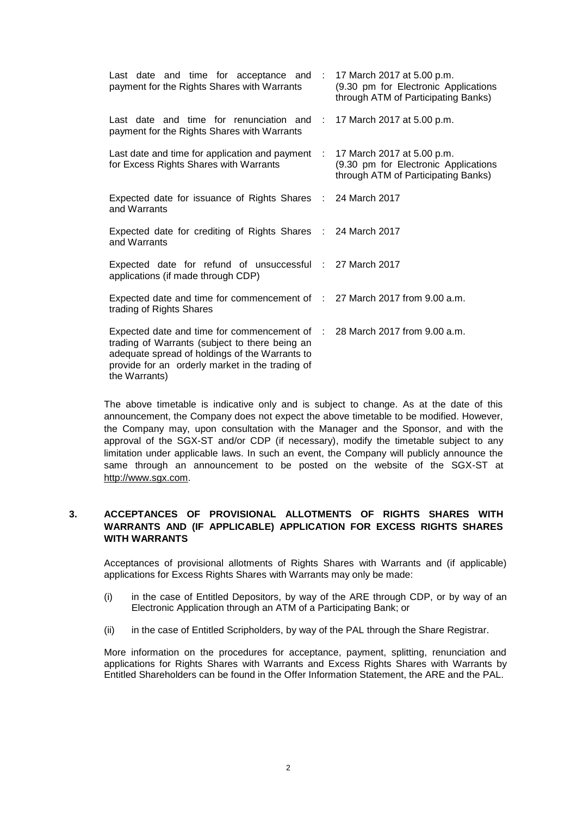| Last date and time for acceptance and : 17 March 2017 at 5.00 p.m.<br>payment for the Rights Shares with Warrants                                                                                                                                 | (9.30 pm for Electronic Applications<br>through ATM of Participating Banks)                               |
|---------------------------------------------------------------------------------------------------------------------------------------------------------------------------------------------------------------------------------------------------|-----------------------------------------------------------------------------------------------------------|
| Last date and time for renunciation and : 17 March 2017 at 5.00 p.m.<br>payment for the Rights Shares with Warrants                                                                                                                               |                                                                                                           |
| Last date and time for application and payment :<br>for Excess Rights Shares with Warrants                                                                                                                                                        | 17 March 2017 at 5.00 p.m.<br>(9.30 pm for Electronic Applications<br>through ATM of Participating Banks) |
| Expected date for issuance of Rights Shares : 24 March 2017<br>and Warrants                                                                                                                                                                       |                                                                                                           |
| Expected date for crediting of Rights Shares : 24 March 2017<br>and Warrants                                                                                                                                                                      |                                                                                                           |
| Expected date for refund of unsuccessful : 27 March 2017<br>applications (if made through CDP)                                                                                                                                                    |                                                                                                           |
| Expected date and time for commencement of : 27 March 2017 from 9.00 a.m.<br>trading of Rights Shares                                                                                                                                             |                                                                                                           |
| Expected date and time for commencement of : 28 March 2017 from 9.00 a.m.<br>trading of Warrants (subject to there being an<br>adequate spread of holdings of the Warrants to<br>provide for an orderly market in the trading of<br>the Warrants) |                                                                                                           |

The above timetable is indicative only and is subject to change. As at the date of this announcement, the Company does not expect the above timetable to be modified. However, the Company may, upon consultation with the Manager and the Sponsor, and with the approval of the SGX-ST and/or CDP (if necessary), modify the timetable subject to any limitation under applicable laws. In such an event, the Company will publicly announce the same through an announcement to be posted on the website of the SGX-ST at http://www.sgx.com.

## **3. ACCEPTANCES OF PROVISIONAL ALLOTMENTS OF RIGHTS SHARES WITH WARRANTS AND (IF APPLICABLE) APPLICATION FOR EXCESS RIGHTS SHARES WITH WARRANTS**

Acceptances of provisional allotments of Rights Shares with Warrants and (if applicable) applications for Excess Rights Shares with Warrants may only be made:

- (i) in the case of Entitled Depositors, by way of the ARE through CDP, or by way of an Electronic Application through an ATM of a Participating Bank; or
- (ii) in the case of Entitled Scripholders, by way of the PAL through the Share Registrar.

More information on the procedures for acceptance, payment, splitting, renunciation and applications for Rights Shares with Warrants and Excess Rights Shares with Warrants by Entitled Shareholders can be found in the Offer Information Statement, the ARE and the PAL.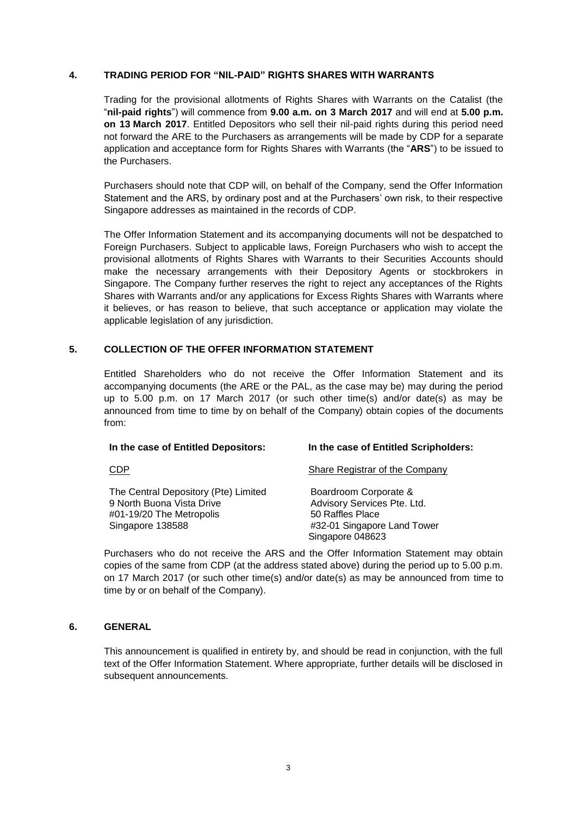#### **4. TRADING PERIOD FOR "NIL-PAID" RIGHTS SHARES WITH WARRANTS**

Trading for the provisional allotments of Rights Shares with Warrants on the Catalist (the "**nil-paid rights**") will commence from **9.00 a.m. on 3 March 2017** and will end at **5.00 p.m. on 13 March 2017**. Entitled Depositors who sell their nil-paid rights during this period need not forward the ARE to the Purchasers as arrangements will be made by CDP for a separate application and acceptance form for Rights Shares with Warrants (the "**ARS**") to be issued to the Purchasers.

Purchasers should note that CDP will, on behalf of the Company, send the Offer Information Statement and the ARS, by ordinary post and at the Purchasers' own risk, to their respective Singapore addresses as maintained in the records of CDP.

The Offer Information Statement and its accompanying documents will not be despatched to Foreign Purchasers. Subject to applicable laws, Foreign Purchasers who wish to accept the provisional allotments of Rights Shares with Warrants to their Securities Accounts should make the necessary arrangements with their Depository Agents or stockbrokers in Singapore. The Company further reserves the right to reject any acceptances of the Rights Shares with Warrants and/or any applications for Excess Rights Shares with Warrants where it believes, or has reason to believe, that such acceptance or application may violate the applicable legislation of any jurisdiction.

#### **5. COLLECTION OF THE OFFER INFORMATION STATEMENT**

Entitled Shareholders who do not receive the Offer Information Statement and its accompanying documents (the ARE or the PAL, as the case may be) may during the period up to 5.00 p.m. on 17 March 2017 (or such other time(s) and/or date(s) as may be announced from time to time by on behalf of the Company) obtain copies of the documents from:

| In the case of Entitled Depositors:                                                                               | In the case of Entitled Scripholders:                                                                                       |
|-------------------------------------------------------------------------------------------------------------------|-----------------------------------------------------------------------------------------------------------------------------|
| <b>CDP</b>                                                                                                        | Share Registrar of the Company                                                                                              |
| The Central Depository (Pte) Limited<br>9 North Buona Vista Drive<br>#01-19/20 The Metropolis<br>Singapore 138588 | Boardroom Corporate &<br>Advisory Services Pte. Ltd.<br>50 Raffles Place<br>#32-01 Singapore Land Tower<br>Singapore 048623 |

Purchasers who do not receive the ARS and the Offer Information Statement may obtain copies of the same from CDP (at the address stated above) during the period up to 5.00 p.m. on 17 March 2017 (or such other time(s) and/or date(s) as may be announced from time to time by or on behalf of the Company).

### **6. GENERAL**

This announcement is qualified in entirety by, and should be read in conjunction, with the full text of the Offer Information Statement. Where appropriate, further details will be disclosed in subsequent announcements.